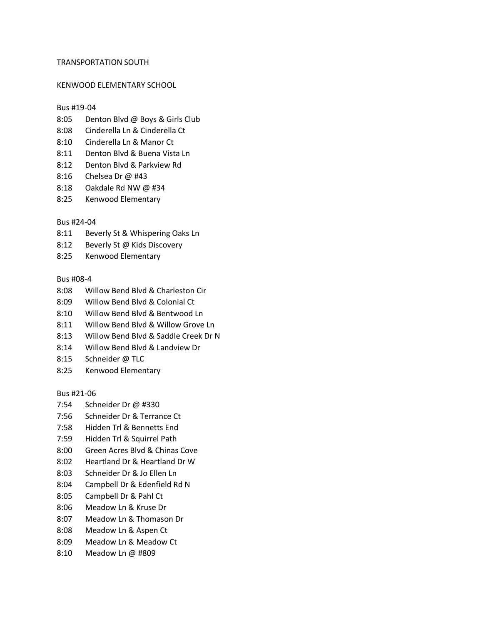# TRANSPORTATION SOUTH

# KENWOOD ELEMENTARY SCHOOL

# Bus #19-04

- 8:05 Denton Blvd @ Boys & Girls Club
- 8:08 Cinderella Ln & Cinderella Ct
- 8:10 Cinderella Ln & Manor Ct
- 8:11 Denton Blvd & Buena Vista Ln
- 8:12 Denton Blvd & Parkview Rd
- 8:16 Chelsea Dr @ #43
- 8:18 Oakdale Rd NW @ #34
- 8:25 Kenwood Elementary

# Bus #24-04

- 8:11 Beverly St & Whispering Oaks Ln
- 8:12 Beverly St @ Kids Discovery
- 8:25 Kenwood Elementary

# Bus #08-4

- 8:08 Willow Bend Blvd & Charleston Cir
- 8:09 Willow Bend Blvd & Colonial Ct
- 8:10 Willow Bend Blvd & Bentwood Ln
- 8:11 Willow Bend Blvd & Willow Grove Ln
- 8:13 Willow Bend Blvd & Saddle Creek Dr N
- 8:14 Willow Bend Blvd & Landview Dr
- 8:15 Schneider @ TLC
- 8:25 Kenwood Elementary

#### Bus #21-06

- 7:54 Schneider Dr @ #330
- 7:56 Schneider Dr & Terrance Ct
- 7:58 Hidden Trl & Bennetts End
- 7:59 Hidden Trl & Squirrel Path
- 8:00 Green Acres Blvd & Chinas Cove
- 8:02 Heartland Dr & Heartland Dr W
- 8:03 Schneider Dr & Jo Ellen Ln
- 8:04 Campbell Dr & Edenfield Rd N
- 8:05 Campbell Dr & Pahl Ct
- 8:06 Meadow Ln & Kruse Dr
- 8:07 Meadow Ln & Thomason Dr
- 8:08 Meadow Ln & Aspen Ct
- 8:09 Meadow Ln & Meadow Ct
- 8:10 Meadow Ln @ #809